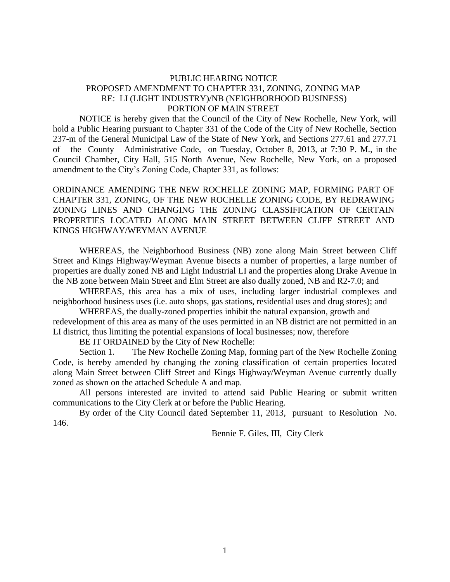## PUBLIC HEARING NOTICE PROPOSED AMENDMENT TO CHAPTER 331, ZONING, ZONING MAP RE: LI (LIGHT INDUSTRY)/NB (NEIGHBORHOOD BUSINESS) PORTION OF MAIN STREET

NOTICE is hereby given that the Council of the City of New Rochelle, New York, will hold a Public Hearing pursuant to Chapter 331 of the Code of the City of New Rochelle, Section 237-m of the General Municipal Law of the State of New York, and Sections 277.61 and 277.71 of the County Administrative Code, on Tuesday, October 8, 2013, at 7:30 P. M., in the Council Chamber, City Hall, 515 North Avenue, New Rochelle, New York, on a proposed amendment to the City's Zoning Code, Chapter 331, as follows:

ORDINANCE AMENDING THE NEW ROCHELLE ZONING MAP, FORMING PART OF CHAPTER 331, ZONING, OF THE NEW ROCHELLE ZONING CODE, BY REDRAWING ZONING LINES AND CHANGING THE ZONING CLASSIFICATION OF CERTAIN PROPERTIES LOCATED ALONG MAIN STREET BETWEEN CLIFF STREET AND KINGS HIGHWAY/WEYMAN AVENUE

WHEREAS, the Neighborhood Business (NB) zone along Main Street between Cliff Street and Kings Highway/Weyman Avenue bisects a number of properties, a large number of properties are dually zoned NB and Light Industrial LI and the properties along Drake Avenue in the NB zone between Main Street and Elm Street are also dually zoned, NB and R2-7.0; and

WHEREAS, this area has a mix of uses, including larger industrial complexes and neighborhood business uses (i.e. auto shops, gas stations, residential uses and drug stores); and

WHEREAS, the dually-zoned properties inhibit the natural expansion, growth and redevelopment of this area as many of the uses permitted in an NB district are not permitted in an LI district, thus limiting the potential expansions of local businesses; now, therefore

BE IT ORDAINED by the City of New Rochelle:

Section 1. The New Rochelle Zoning Map, forming part of the New Rochelle Zoning Code, is hereby amended by changing the zoning classification of certain properties located along Main Street between Cliff Street and Kings Highway/Weyman Avenue currently dually zoned as shown on the attached Schedule A and map.

All persons interested are invited to attend said Public Hearing or submit written communications to the City Clerk at or before the Public Hearing.

By order of the City Council dated September 11, 2013, pursuant to Resolution No. 146.

Bennie F. Giles, III, City Clerk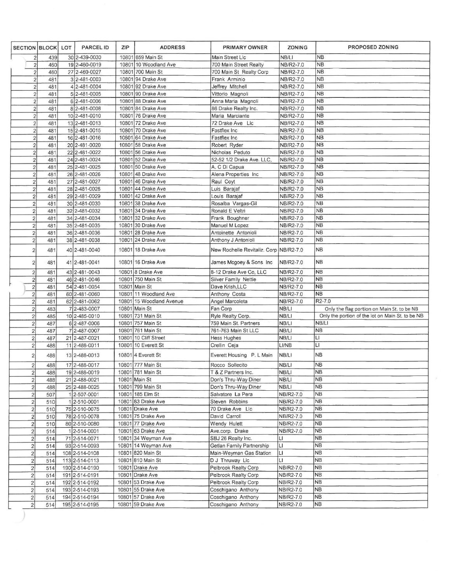| <b>SECTION BLOCK</b>                               |            | LOT | <b>PARCEL ID</b>               | ZIP   | <b>ADDRESS</b>                        | PRIMARY OWNER                                   | ZONING                 | PROPOSED ZONING                                                                                |
|----------------------------------------------------|------------|-----|--------------------------------|-------|---------------------------------------|-------------------------------------------------|------------------------|------------------------------------------------------------------------------------------------|
| $\overline{c}$                                     | 439        |     | 30 2-439-0030                  |       | 10801 659 Main St                     | Main Street Llc                                 | NB/LI                  | <b>NB</b>                                                                                      |
| $\overline{\mathbf{c}}$                            | 460        |     | 19 2-460-0019                  |       | 10801 10 Woodland Ave                 | 700 Main Street Realty                          | NB/R2-7.0              | <b>NB</b>                                                                                      |
| $\overline{2}$                                     | 460        |     | 27 2-460-0027                  |       | 10801 700 Main St                     | 700 Main St Realty Corp                         | NB/R2-7.0              | <b>NB</b>                                                                                      |
| $\overline{a}$                                     | 481        |     | 3 2-481-0003                   |       | 10801 94 Drake Ave                    | Frank Arminio                                   | NB/R2-7.0              | <b>NB</b>                                                                                      |
| $\overline{\mathbf{c}}$                            | 481        |     | 4 2-481-0004                   |       | 10801 92 Drake Ave                    | Jeffrey Mitchell                                | NB/R2-7.0              | <b>NB</b>                                                                                      |
| $\overline{c}$                                     | 481        |     | 5 2-481-0005                   |       | 10801 90 Drake Ave                    | Vittorio Magnoli                                | NB/R2-7.0              | <b>NB</b>                                                                                      |
| $\overline{2}$                                     | 481        |     | 6 2-481-0006                   |       | 10801 88 Drake Ave                    | Anna Maria Magnoli                              | NB/R2-7.0              | <b>NB</b>                                                                                      |
| $\overline{2}$                                     | 481        |     | 8 2-481-0008                   |       | 10801 84 Drake Ave                    | 86 Drake Realty Inc.                            | NB/R2-7.0              | <b>NB</b>                                                                                      |
| $\overline{\mathbf{c}}$                            | 481        |     | 10 2-481-0010                  |       | 10801 76 Drake Ave                    | Maria Marciante                                 | NB/R2-7.0              | <b>NB</b>                                                                                      |
| $\sqrt{2}$                                         | 481        |     | 13 2-481-0013                  | 10801 | 72 Drake Ave                          | 72 Drake Ave Llc                                | NB/R2-7.0              | <b>NB</b>                                                                                      |
| $\overline{2}$                                     | 481        |     | 15 2-481-0015                  |       | 10801 70 Drake Ave                    | Fastflex Inc.                                   | NB/R2-7.0              | <b>NB</b>                                                                                      |
| $\overline{2}$                                     | 481        |     | 16 2-481-0016                  |       | 10801 64 Drake Ave                    | Fastflex Inc                                    | NB/R2-7.0              | <b>NB</b>                                                                                      |
| $\mathbf{2}$                                       | 481        |     | 20 2-481-0020                  | 10801 | 58 Drake Ave                          | Robert Ryder                                    | NB/R2-7.0              | <b>NB</b>                                                                                      |
| $\overline{2}$                                     | 481        |     | 22 2-481-0022                  |       | 10801 56 Drake Ave                    | Nicholas Peduto                                 | NB/R2-7.0              | <b>NB</b>                                                                                      |
| $\overline{2}$                                     | 481        |     | 24 2-481-0024                  |       | 10801 52 Drake Ave                    | 52-52 1/2 Drake Ave. LLC,                       | NB/R2-7.0              | <b>NB</b>                                                                                      |
| $\overline{2}$                                     | 481        |     | 25 2-481-0025                  |       | 10801 50 Drake Ave                    | A. C Di Capua                                   | NB/R2-7.0              | <b>NB</b>                                                                                      |
| $\overline{2}$                                     | 481        |     | 26 2-481-0026                  |       | 10801 48 Drake Ave                    | Alena Properties Inc                            | NB/R2-7.0              | <b>NB</b>                                                                                      |
| $\overline{c}$                                     | 481        |     | 27 2-481-0027                  |       | 10801 46 Drake Ave                    | Raul Coyt                                       | NB/R2-7.0              | <b>NB</b>                                                                                      |
| $\overline{c}$                                     | 481        |     | 28 2-481-0028                  | 10801 | 44 Drake Ave                          | Luis Barajaf                                    | NB/R2-7.0              | <b>NB</b>                                                                                      |
| $\overline{2}$                                     | 481        |     | 29 2-481-0029                  |       | 10801 42 Drake Ave                    | Louis Barajaf                                   | NB/R2-7.0              | <b>NB</b>                                                                                      |
| $\overline{\mathbf{c}}$                            | 481        |     | 30 2-481-0030                  |       | 10801 38 Drake Ave                    | Rosalba Vargas-Gil                              | NB/R2-7.0              | NB                                                                                             |
| $\overline{\mathbf{c}}$                            | 481        |     | 32 2-481-0032                  |       | 10801 34 Drake Ave                    | Ronald E Veltri                                 | NB/R2-7.0              | <b>NB</b>                                                                                      |
| $\overline{2}$                                     | 481        |     | 34 2-481-0034                  |       | 10801 32 Drake Ave                    | Frank Boughner                                  | NB/R2-7.0              | N <sub>B</sub>                                                                                 |
| $\overline{2}$                                     | 481        |     | 35 2-481-0035                  |       | 10801 30 Drake Ave                    | Manuel M Lopez                                  | NB/R2-7.0              | <b>NB</b>                                                                                      |
| $\overline{\mathbf{c}}$                            | 481        |     | 36 2-481-0036                  |       | 10801 28 Drake Ave                    | Antoinette Antonioli                            | NB/R2-7.0              | <b>NB</b>                                                                                      |
| 2                                                  | 481        |     | 38 2-481-0038                  |       | 10801 24 Drake Ave                    | Anthony J Antonioli                             | NB/R2-7.0              | <b>NB</b>                                                                                      |
| $\overline{2}$                                     | 481        |     | 40 2-481-0040                  |       | 10801 18 Drake Ave                    | New Rochelle Revitaliz. Corp NB/R2-7.0          |                        | <b>NB</b>                                                                                      |
| $\overline{2}$                                     | 481        |     | 41 2-481-0041                  |       | 10801 16 Drake Ave                    | James Mcgoey & Sons Inc                         | NB/R2-7.0              | <b>NB</b>                                                                                      |
| $\overline{2}$                                     | 481        |     | 43 2-481-0043                  |       | 10801 8 Drake Ave                     | 8-12 Drake Ave Co, LLC                          | NB/R2-7.0              | N <sub>B</sub>                                                                                 |
| $\overline{2}$                                     | 481        |     | 46 2-481-0046                  |       | 10801 750 Main St                     | Silver Family Nettie                            | NB/R2-7.0              | <b>NB</b>                                                                                      |
| $\overline{c}$                                     | 481        |     | 54 2-481-0054                  |       | 10801 Main St                         | Dave Krish, LLC                                 | NB/R2-7.0              | <b>NB</b>                                                                                      |
| $\overline{\mathbf{c}}$                            | 481        |     | 60 2-481-0060                  | 10801 | 11 Woodland Ave                       | Anthony Costa                                   | NB/R2-7.0              | <b>NB</b><br>R2-7.0                                                                            |
| $\overline{2}$                                     | 481        |     | 62 2-481-0062                  | 10801 | 15 Woodland Avenue<br>10801 Main St   | Angel Marcoleta                                 | NB/R2-7.0<br>NB/LI     |                                                                                                |
| $\overline{\mathbf{2}}$                            | 483        |     | 7 2-483-0007<br>10 2-485-0010  |       | 10801 731 Main St                     | Fan Corp<br>Ryle Realty Corp.                   | NB/LI                  | Only the flag portion on Main St. to be NB<br>Only the portion of the lot on Main St. to be NB |
| $\overline{c}$                                     | 485<br>487 |     |                                |       | 10801 757 Main St                     | 759 Main St. Partners                           | NB/LI                  | NB/LI                                                                                          |
| $\mathbf{2}$                                       |            |     | 6 2-487-0006<br>7 2-487-0007   |       | 10801 761 Main St                     | 761-763 Main St LLC                             | NB/LI                  | <b>NB</b>                                                                                      |
| $\overline{\mathbf{c}}$                            | 487        |     | 21 2-487-0021                  | 10801 | 10 Cliff Street                       | Hess Hughes                                     | NB/LI                  | LI                                                                                             |
| $\sqrt{2}$<br>$\overline{2}$                       | 487<br>488 |     | 11 2-488-0011                  |       | 10801 10 Everett St                   | Crellin Ceja                                    | LI/NB                  | LI                                                                                             |
|                                                    |            |     |                                |       |                                       |                                                 |                        |                                                                                                |
| $\overline{2}$                                     | 488        |     | 13 2-488-0013                  |       | 10801 4 Everett St                    | Everett Housing P. L Main                       | NB/LI                  | <b>NB</b>                                                                                      |
| 2                                                  | 488        |     | 17 2-488-0017                  |       | 10801 777 Main St                     | Rocco Sollecito                                 | NB/LI                  | N <sub>B</sub><br><b>NB</b>                                                                    |
| $\overline{2}$                                     | 488        |     | 19 2-488-0019                  |       | 10801 781 Main St                     | T & Z Partners Inc.                             | NB/LI                  | <b>NB</b>                                                                                      |
| $\overline{2}$                                     | 488        |     | 21 2-488-0021                  |       | 10801 Main St                         | Don's Thru-Way Diner                            | NB/LI                  | <b>NB</b>                                                                                      |
| $\overline{2}$                                     | 488        |     | 25 2-488-0025                  |       | 10801 799 Main St<br>10801 185 Elm St | Don's Thru-Way Diner                            | NB/LI                  | <b>NB</b>                                                                                      |
| $\overline{c}$                                     | 507        |     | 1 2-507-0001                   |       | 10801 83 Drake Ave                    | Salvatore La Pera<br>Steven Robbins             | NB/R2-7.0<br>NB/R2-7.0 | <b>NB</b>                                                                                      |
| $\overline{2}$                                     | 510        |     | 1 2-510-0001                   |       | 10801 Drake Ave                       | 70 Drake Ave Llc                                | NB/R2-7.0              | <b>NB</b>                                                                                      |
| $\overline{2}$                                     | 510        |     | 75 2-510-0075                  |       | 10801 75 Drake Ave                    | David Carroll                                   | NB/R2-7.0              | <b>NB</b>                                                                                      |
| $\overline{c}$                                     | 510        |     | 78 2-510-0078                  |       | 10801 77 Drake Ave                    | Wendy Hulett                                    |                        | <b>NB</b>                                                                                      |
| $\overline{c}$                                     | 510<br>514 |     | 80 2-510-0080<br>1 2-514-0001  |       | 10801 63 Drake Ave                    | Ave.corp. Drake                                 | NB/R2-7.0<br>NB/R2-7.0 | <b>NB</b>                                                                                      |
| $\overline{\mathbf{c}}$                            |            |     |                                |       | 10801 34 Weyman Ave                   |                                                 |                        | <b>NB</b>                                                                                      |
| $\overline{c}$                                     | 514<br>514 |     | 71 2-514-0071<br>93 2-514-0093 |       | 10801 14 Weyman Ave                   | SBJ 26 Realty Inc.<br>Getlan Family Partnership | LI<br>LI               | <b>NB</b>                                                                                      |
| $\overline{\mathbf{c}}$                            |            |     | 108 2-514-0108                 |       | 10801 820 Main St                     | Main-Weyman Gas Station                         | LI                     | <b>NB</b>                                                                                      |
| $\overline{\mathbf{c}}$                            | 514<br>514 |     | 113 2-514-0113                 |       | 10801 810 Main St                     | D J Thruway Llc                                 | $\mathsf{L}$           | <b>NB</b>                                                                                      |
| $\overline{\mathbf{c}}$<br>$\overline{\mathbf{c}}$ | 514        |     | 190 2-514-0190                 |       | 10801 Drake Ave                       | Pelbrook Realty Corp                            | NB/R2-7.0              | <b>NB</b>                                                                                      |
| $\overline{\mathbf{c}}$                            | 514        |     | 191 2-514-0191                 |       | 10801 Drake Ave                       | Pelbrook Realty Corp                            | NB/R2-7.0              | <b>NB</b>                                                                                      |
| $\overline{\mathbf{c}}$                            | 514        |     | 192 2-514-0192                 |       | 10801 53 Drake Ave                    | Pelbrook Realty Corp                            | NB/R2-7.0              | <b>NB</b>                                                                                      |
| $\overline{\mathbf{c}}$                            | 514        |     | 193 2-514-0193                 |       | 10801 55 Drake Ave                    | Coschigano Anthony                              | NB/R2-7.0              | <b>NB</b>                                                                                      |
| $\mathbf{2}$                                       | 514        |     | 194 2-514-0194                 |       | 10801 57 Drake Ave                    | Coschigano Anthony                              | NB/R2-7.0              | N <sub>B</sub>                                                                                 |
| $\overline{2}$                                     | 514        |     | 195 2-514-0195                 |       | 10801 59 Drake Ave                    | Coschigano Anthony                              | NB/R2-7.0              | NB                                                                                             |
|                                                    |            |     |                                |       |                                       |                                                 |                        |                                                                                                |